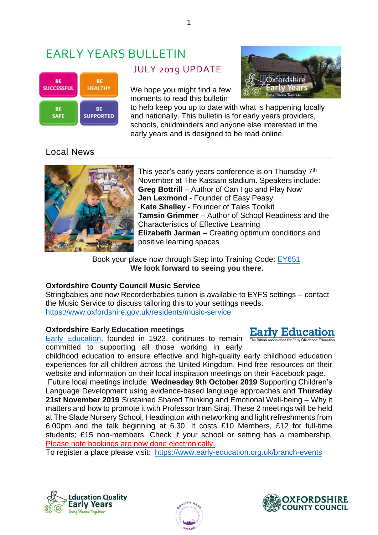# EARLY YEARS BULLETIN



JULY 2019 UPDATE

We hope you might find a few moments to read this bulletin



to help keep you up to date with what is happening locally and nationally. This bulletin is for early years providers, schools, childminders and anyone else interested in the early years and is designed to be read online.

# Local News



This year's early years conference is on Thursday 7<sup>th</sup> November at The Kassam stadium. Speakers include: **Greg Bottrill** – Author of Can I go and Play Now **Jen Lexmond** - Founder of Easy Peasy **Kate Shelley** - Founder of Tales Toolkit **Tamsin Grimmer** – Author of School Readiness and the Characteristics of Effective Learning **Elizabeth Jarman** – Creating optimum conditions and positive learning spaces

Book your place now through Step into Training Code: [EY651](https://oxfordshirecpdonline.com/courses/bookings/c_detail.asp?cid=11533&iscancelled=0&curpage=&keyword=&ds=1&unconfirmed=&cs=&subid=&ccid=&cscid=&search_theme=&keystage=&sdate=&searchcode=&asearch=&tutid=&estid=&sday=&smonth=&syear=&targetid=&cal=&calday=&calmonth=&calyear=&caldate=&submonth=&subyear=&list=&palist=&frompage=&a=&b=&c=&d=&s_leaid=&searchpostcode=)  **We look forward to seeing you there.**

#### **Oxfordshire County Council Music Service**

Stringbabies and now Recorderbabies tuition is available to EYFS settings – contact the Music Service to discuss tailoring this to your settings needs. <https://www.oxfordshire.gov.uk/residents/music-service>

#### **Oxfordshire Early Education meetings**

[Early Education,](https://www.early-education.org.uk/) founded in 1923, continues to remain committed to supporting all those working in early

childhood education to ensure effective and high-quality early childhood education experiences for all children across the United Kingdom. Find free resources on their website and information on their local inspiration meetings on their Facebook page.

Future local meetings include: **Wednesday 9th October 2019** Supporting Children's Language Development using evidence-based language approaches and **Thursday 21st November 2019** Sustained Shared Thinking and Emotional Well-being – Why it matters and how to promote it with Professor Iram Siraj. These 2 meetings will be held at The Slade Nursery School, Headington with networking and light refreshments from 6.00pm and the talk beginning at 6.30. It costs £10 Members, £12 for full-time students; £15 non-members. Check if your school or setting has a membership. Please note bookings are now done electronically.

To register a place please visit: <https://www.early-education.org.uk/branch-events>







**Early Education**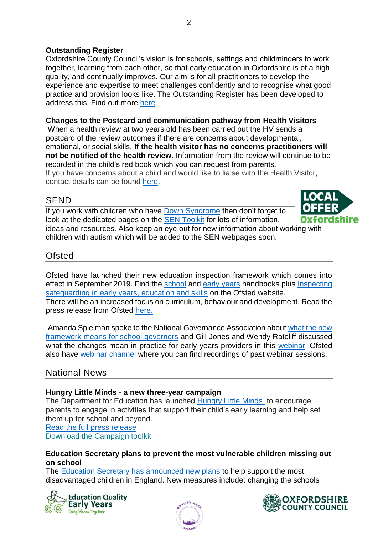# **Outstanding Register**

Oxfordshire County Council's vision is for schools, settings and childminders to work together, learning from each other, so that early education in Oxfordshire is of a high quality, and continually improves. Our aim is for all practitioners to develop the experience and expertise to meet challenges confidently and to recognise what good practice and provision looks like. The Outstanding Register has been developed to address this. Find out more [here](https://www.oxfordshire.gov.uk/business/information-providers/childrens-services-providers/good-practice-and-ideas-childcare-providers/outstanding-register)

#### **Changes to the Postcard and communication pathway from Health Visitors**

When a health review at two years old has been carried out the HV sends a postcard of the review outcomes if there are concerns about developmental, emotional, or social skills. **If the health visitor has no concerns practitioners will not be notified of the health review.** Information from the review will continue to be recorded in the child's red book which you can request from parents. If you have concerns about a child and would like to liaise with the Health Visitor,

contact details can be found [here.](https://www2.oxfordshire.gov.uk/cms/sites/default/files/folders/documents/childreneducationandfamilies/educationandlearning/earlyyearschildcare/LinkHealthVisitors.xlsx)

# SEND

If you work with children who have [Down Syndrome](https://www.oxfordshire.gov.uk/business/information-providers/childrens-services-providers/sen-support-providers/early-years-sen-toolkit/children-down-syndrome) then don't forget to look at the dedicated pages on the **SEN** Toolkit for lots of information, ideas and resources. Also keep an eye out for new information about working with children with autism which will be added to the SEN webpages soon.



# **Ofsted**

Ofsted have launched their new education inspection framework which comes into effect in September 2019. Find the [school](https://assets.publishing.service.gov.uk/government/uploads/system/uploads/attachment_data/file/806942/School_inspection_handbook_section_5_060619.pdf) and [early years](https://www.gov.uk/government/publications/early-years-inspection-handbook-eif) handbooks plus [Inspecting](https://assets.publishing.service.gov.uk/government/uploads/system/uploads/attachment_data/file/800586/Inspecting_safeguarding_.pdf)  [safeguarding in early years, education and skills](https://assets.publishing.service.gov.uk/government/uploads/system/uploads/attachment_data/file/800586/Inspecting_safeguarding_.pdf) on the Ofsted website. There will be an increased focus on curriculum, behaviour and development. Read the press release from Ofsted [here.](https://www.gov.uk/government/news/ofsteds-new-inspection-arrangements-to-focus-on-curriculum-behaviour-and-development)

Amanda Spielman spoke to the National Governance Association about [what the new](https://www.gov.uk/government/speeches/national-governance-association-speech)  [framework means for school governors](https://www.gov.uk/government/speeches/national-governance-association-speech) and Gill Jones and Wendy Ratcliff discussed what the changes mean in practice for early years providers in this [webinar.](https://foundationyears.org.uk/2019/06/webinar-recording-available-ofsted-education-inspection-framework/) Ofsted also have [webinar channel](https://www.gotostage.com/channel/ofstedwebinars) where you can find recordings of past webinar sessions.

# National News

#### **Hungry Little Minds - a new three-year campaign**

The Department for Education has launched [Hungry Little Minds](https://hungrylittleminds.campaign.gov.uk/) to encourage parents to engage in activities that support their child's early learning and help set them up for school and beyond.

[Read the full press release](https://www.gov.uk/government/news/society-wide-mission-to-boost-early-literacy-and-communication?utm_source=Foundation+Years&utm_campaign=791dc9e594-EMAIL_CAMPAIGN_2019_03_21_05_01_COPY_01&utm_medium=email&utm_term=0_8f9a6de061-791dc9e594-321538273&mc_cid=791dc9e594&mc_eid=657d2da590) [Download the Campaign toolkit](https://ncb.us9.list-manage.com/track/click?u=93ca41ab24380caf57761bd37&id=df93963c40&e=657d2da590)

#### **Education Secretary plans to prevent the most vulnerable children missing out on school**

The [Education Secretary has announced new plans](https://www.gov.uk/government/news/new-measures-to-support-disadvantaged-children-in-schools) to help support the most disadvantaged children in England. New measures include: changing the schools





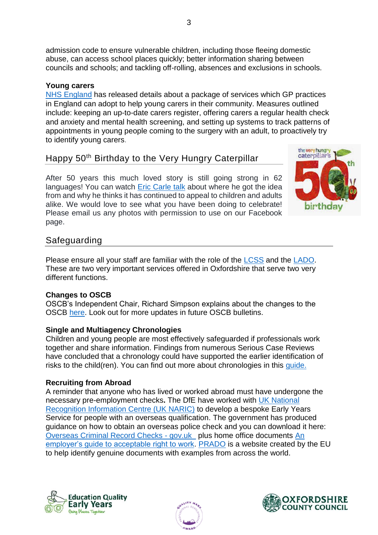admission code to ensure vulnerable children, including those fleeing domestic abuse, can access school places quickly; better information sharing between councils and schools; and tackling off-rolling, absences and exclusions in schools.

# **Young carers**

[NHS England](https://www.england.nhs.uk/2019/06/nhs-sets-out-care-for-young-carers-offer-in-gp-surgeries/) has released details about a package of services which GP practices in England can adopt to help young carers in their community. Measures outlined include: keeping an up-to-date carers register, offering carers a regular health check and anxiety and mental health screening, and setting up systems to track patterns of appointments in young people coming to the surgery with an adult, to proactively try to identify young carers.

# Happy 50th Birthday to the Very Hungry Caterpillar

After 50 years this much loved story is still going strong in 62 languages! You can watch [Eric Carle talk](https://www.youtube.com/watch?v=vYwE8qALm9M) about where he got the idea from and why he thinks it has continued to appeal to children and adults alike. We would love to see what you have been doing to celebrate! Please email us any photos with permission to use on our Facebook page.



# **Safeguarding**

Please ensure all your staff are familiar with the role of the **LCSS** and the [LADO.](http://schools.oxfordshire.gov.uk/cms/sites/schools/files/folders/folders/documents/safeguarding/The_Designated_Officer.pdf) These are two very important services offered in Oxfordshire that serve two very different functions.

#### **Changes to OSCB**

OSCB's Independent Chair, Richard Simpson explains about the changes to the OSCB [here.](http://www.oscb.org.uk/wp-content/uploads/OSCB-Newsletter-March-2019.pdf) Look out for more updates in future OSCB bulletins.

# **Single and Multiagency Chronologies**

Children and young people are most effectively safeguarded if professionals work together and share information. Findings from numerous Serious Case Reviews have concluded that a chronology could have supported the earlier identification of risks to the child(ren). You can find out more about chronologies in this [guide.](http://www.oscb.org.uk/wp-content/uploads/Single-and-Multi-Agency-Chronology-Practice-Guidance-1-1.pdf)

# **Recruiting from Abroad**

A reminder that anyone who has lived or worked abroad must have undergone the necessary pre-employment checks**.** The DfE have worked with [UK National](https://www.naric.org.uk/naric/Individuals/Compare%20Qualifications/Comparability%20for%20Early%20Years%20Sector.aspx)  [Recognition Information Centre \(UK NARIC\)](https://www.naric.org.uk/naric/Individuals/Compare%20Qualifications/Comparability%20for%20Early%20Years%20Sector.aspx) to develop a bespoke Early Years Service for people with an overseas qualification. The government has produced guidance on how to obtain an overseas police check and you can download it here: [Overseas Criminal Record Checks -](https://www.gov.uk/government/publications/criminal-records-checks-for-overseas-applicants?mc_cid=2ce14554eb&mc_eid=e2fd8af67c) gov.uk plus home office documents [An](https://www.gov.uk/government/publications/acceptable-right-to-work-documents-an-employers-guide)  [employer's guide to acceptable right to work.](https://www.gov.uk/government/publications/acceptable-right-to-work-documents-an-employers-guide) [PRADO](https://www.consilium.europa.eu/prado/en/prado-start-page.html?mc_cid=2ce14554eb&mc_eid=e2fd8af67c) is a website created by the EU to help identify genuine documents with examples from across the world.





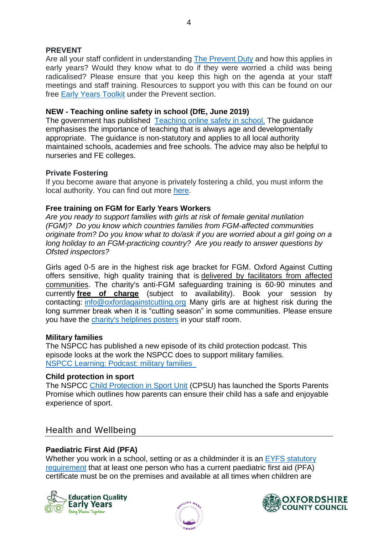#### **PREVENT**

Are all your staff confident in understanding [The Prevent Duty](https://www.gov.uk/government/publications/prevent-duty-guidance) and how this applies in early years? Would they know what to do if they were worried a child was being radicalised? Please ensure that you keep this high on the agenda at your staff meetings and staff training. Resources to support you with this can be found on our free [Early Years Toolkit](https://www.oxfordshire.gov.uk/business/information-providers/childrens-services-providers/good-practice-and-ideas-childcare-providers/early-years-toolkit) under the Prevent section.

#### **NEW - Teaching online safety in school (DfE, June 2019)**

The government has published [Teaching online safety in school.](https://www.gov.uk/government/publications/teaching-online-safety-in-schools) The guidance emphasises the importance of teaching that is always age and developmentally appropriate. The guidance is non-statutory and applies to all local authority maintained schools, academies and free schools. The advice may also be helpful to nurseries and FE colleges.

#### **Private Fostering**

If you become aware that anyone is privately fostering a child, you must inform the local authority. You can find out more [here.](https://www.oxfordshire.gov.uk/residents/children-education-and-families/fostering/information-foster-carers/private-arrangements)

# **Free training on FGM for Early Years Workers**

*Are you ready to support families with girls at risk of female genital mutilation (FGM)? Do you know which countries families from FGM-affected communities originate from? Do you know what to do/ask if you are worried about a girl going on a long holiday to an FGM-practicing country? Are you ready to answer questions by Ofsted inspectors?*

Girls aged 0-5 are in the highest risk age bracket for FGM. Oxford Against Cutting offers sensitive, high quality training that is delivered by facilitators from affected communities. The charity's anti-FGM safeguarding training is 60-90 minutes and currently **free of charge** (subject to availability). Book your session by contacting: [info@oxfordagainstcutting.org](mailto:info@oxfordagainstcutting.org) Many girls are at highest risk during the long summer break when it is "cutting season" in some communities. Please ensure you have the [charity's helplines posters](https://www.oxfordagainstcutting.org/wp-content/uploads/2019/05/2019-green-poster-Oxon-A4.pdf) in your staff room.

# **Military families**

The NSPCC has published a new episode of its child protection podcast. This episode looks at the work the NSPCC does to support military families. [NSPCC Learning: Podcast: military families](https://learning.nspcc.org.uk/news/2019/june/podcast-military-families/) 

# **[Child protection in sport](https://thecpsu.org.uk/parents/sports-parents-promise/)**

The NSPCC [Child Protection in Sport Unit](https://thecpsu.org.uk/) (CPSU) has launched the Sports Parents Promise which outlines how parents can ensure their child has a safe and enjoyable experience of sport.

# Health and Wellbeing

# **Paediatric First Aid (PFA)**

Whether you work in a school, setting or as a childminder it is an EYFS statutory [requirement](https://www.gov.uk/government/publications/early-years-foundation-stage-framework--2) that at least one person who has a current paediatric first aid (PFA) certificate must be on the premises and available at all times when children are





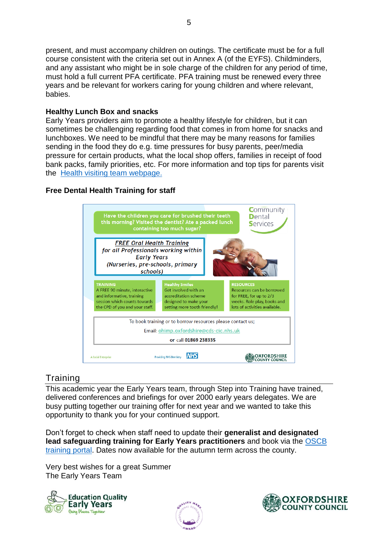present, and must accompany children on outings. The certificate must be for a full course consistent with the criteria set out in Annex A (of the EYFS). Childminders, and any assistant who might be in sole charge of the children for any period of time, must hold a full current PFA certificate. PFA training must be renewed every three years and be relevant for workers caring for young children and where relevant, babies.

#### **Healthy Lunch Box and snacks**

Early Years providers aim to promote a healthy lifestyle for children, but it can sometimes be challenging regarding food that comes in from home for snacks and lunchboxes. We need to be mindful that there may be many reasons for families sending in the food they do e.g. time pressures for busy parents, peer/media pressure for certain products, what the local shop offers, families in receipt of food bank packs, family priorities, etc. For more information and top tips for parents visit the [Health visiting team](https://www.oxfordhealth.nhs.uk/health-visitors/useful-links/) webpage.

# **Free Dental Health Training for staff**



# **Training**

This academic year the Early Years team, through Step into Training have trained, delivered conferences and briefings for over 2000 early years delegates. We are busy putting together our training offer for next year and we wanted to take this opportunity to thank you for your continued support.

Don't forget to check when staff need to update their **generalist and designated lead safeguarding training for Early Years practitioners** and book via the [OSCB](https://training.oscb.org.uk/events-list?c=21)  [training portal.](https://training.oscb.org.uk/events-list?c=21) Dates now available for the autumn term across the county.

Very best wishes for a great Summer The Early Years Team